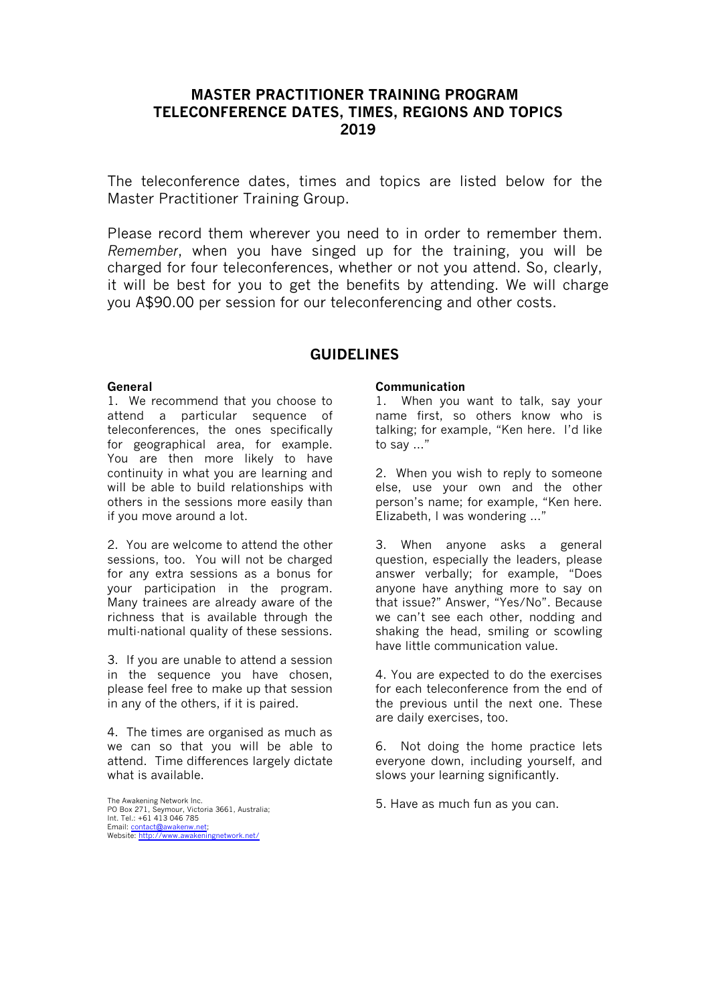# **MASTER PRACTITIONER TRAINING PROGRAM TELECONFERENCE DATES, TIMES, REGIONS AND TOPICS 2019**

The teleconference dates, times and topics are listed below for the Master Practitioner Training Group.

Please record them wherever you need to in order to remember them. *Remember*, when you have singed up for the training, you will be charged for four teleconferences, whether or not you attend. So, clearly, it will be best for you to get the benefits by attending. We will charge you A\$90.00 per session for our teleconferencing and other costs.

### **GUIDELINES**

#### **General**

1. We recommend that you choose to attend a particular sequence of teleconferences, the ones specifically for geographical area, for example. You are then more likely to have continuity in what you are learning and will be able to build relationships with others in the sessions more easily than if you move around a lot.

2. You are welcome to attend the other sessions, too. You will not be charged for any extra sessions as a bonus for your participation in the program. Many trainees are already aware of the richness that is available through the multi-national quality of these sessions.

3. If you are unable to attend a session in the sequence you have chosen, please feel free to make up that session in any of the others, if it is paired.

4. The times are organised as much as we can so that you will be able to attend. Time differences largely dictate what is available.

The Awakening Network Inc. PO Box 271, Seymour, Victoria 3661, Australia; Int. Tel.: +61 413 046 785 Email: contact@awakenw.net; Website: http://www.awakeningnetwork.net/

#### **Communication**

1. When you want to talk, say your name first, so others know who is talking; for example, "Ken here. I'd like to say …"

2. When you wish to reply to someone else, use your own and the other person's name; for example, "Ken here. Elizabeth, I was wondering …"

3. When anyone asks a general question, especially the leaders, please answer verbally; for example, "Does anyone have anything more to say on that issue?" Answer, "Yes/No". Because we can't see each other, nodding and shaking the head, smiling or scowling have little communication value.

4. You are expected to do the exercises for each teleconference from the end of the previous until the next one. These are daily exercises, too.

6. Not doing the home practice lets everyone down, including yourself, and slows your learning significantly.

5. Have as much fun as you can.